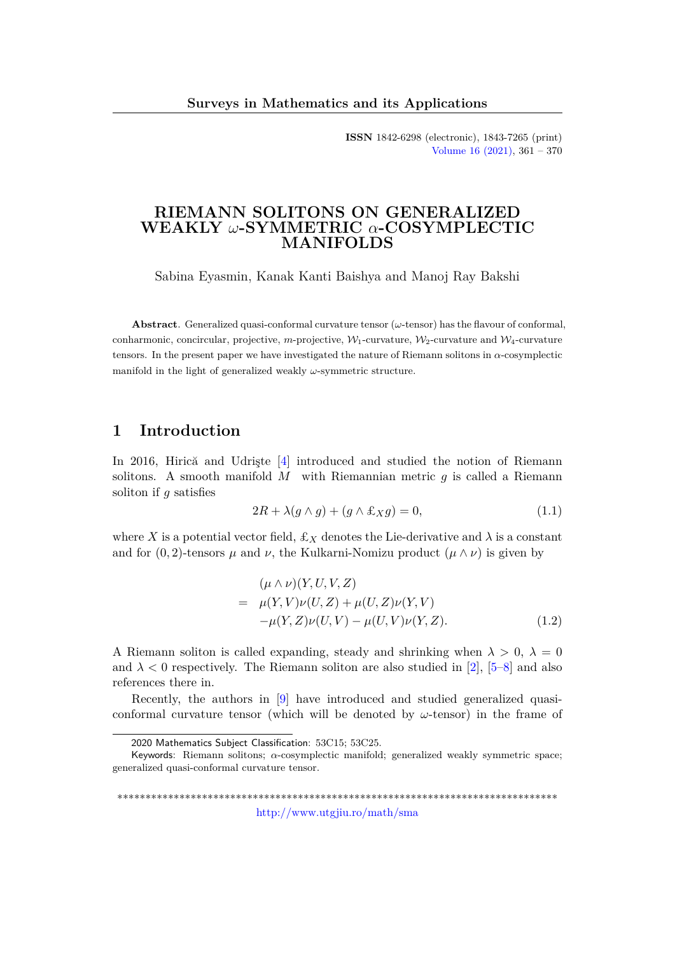**ISSN** 1842-6298 (electronic), 1843-7265 (print) [Volume 16 \(2021\),](http://www.utgjiu.ro/math/sma/v16/v16.html) 361 – 370

### **RIEMANN SOLITONS ON GENERALIZED WEAKLY** *ω***-SYMMETRIC** *α***-COSYMPLECTIC MANIFOLDS**

Sabina Eyasmin, Kanak Kanti Baishya and Manoj Ray Bakshi

**Abstract**. Generalized quasi-conformal curvature tensor (*ω*-tensor) has the flavour of conformal, conharmonic, concircular, projective,  $m$ -projective,  $W_1$ -curvature,  $W_2$ -curvature and  $W_4$ -curvature tensors. In the present paper we have investigated the nature of Riemann solitons in *α*-cosymplectic manifold in the light of generalized weakly *ω*-symmetric structure.

## **1 Introduction**

In 2016, Hirică and Udrişte [\[4\]](#page-7-0) introduced and studied the notion of Riemann solitons. A smooth manifold  $M$  with Riemannian metric  $g$  is called a Riemann soliton if *g* satisfies

<span id="page-0-1"></span>
$$
2R + \lambda(g \wedge g) + (g \wedge \pounds_X g) = 0,\tag{1.1}
$$

where X is a potential vector field,  $\pounds_X$  denotes the Lie-derivative and  $\lambda$  is a constant and for  $(0, 2)$ -tensors  $\mu$  and  $\nu$ , the Kulkarni-Nomizu product  $(\mu \wedge \nu)$  is given by

<span id="page-0-0"></span>
$$
(\mu \wedge \nu)(Y, U, V, Z)
$$
  
=  $\mu(Y, V)\nu(U, Z) + \mu(U, Z)\nu(Y, V)$   
 $-\mu(Y, Z)\nu(U, V) - \mu(U, V)\nu(Y, Z).$  (1.2)

A Riemann soliton is called expanding, steady and shrinking when  $\lambda > 0$ ,  $\lambda = 0$ and  $\lambda < 0$  respectively. The Riemann soliton are also studied in [\[2\]](#page-7-1), [\[5–](#page-7-2)[8\]](#page-8-0) and also references there in.

Recently, the authors in [\[9\]](#page-8-1) have introduced and studied generalized quasiconformal curvature tensor (which will be denoted by *ω*-tensor) in the frame of

\*\*\*\*\*\*\*\*\*\*\*\*\*\*\*\*\*\*\*\*\*\*\*\*\*\*\*\*\*\*\*\*\*\*\*\*\*\*\*\*\*\*\*\*\*\*\*\*\*\*\*\*\*\*\*\*\*\*\*\*\*\*\*\*\*\*\*\*\*\*\*\*\*\*\*\*\*\* <http://www.utgjiu.ro/math/sma>

<sup>2020</sup> Mathematics Subject Classification: 53C15; 53C25.

Keywords: Riemann solitons; *α*-cosymplectic manifold; generalized weakly symmetric space; generalized quasi-conformal curvature tensor.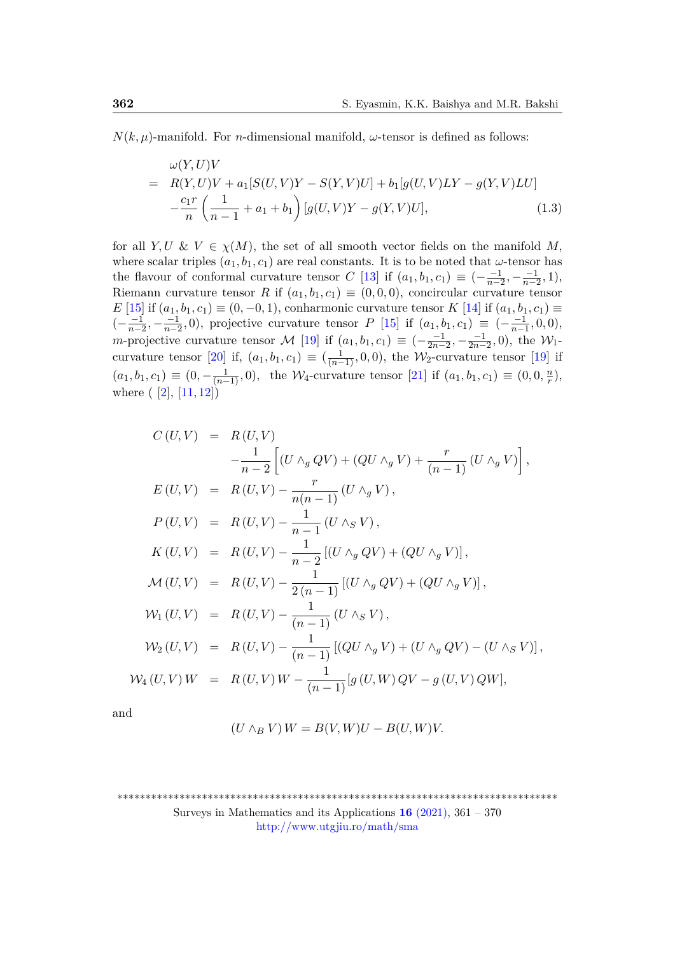$N(k, \mu)$ -manifold. For *n*-dimensional manifold,  $\omega$ -tensor is defined as follows:

<span id="page-1-0"></span>
$$
\omega(Y, U)V = R(Y, U)V + a_1[S(U, V)Y - S(Y, V)U] + b_1[g(U, V)LY - g(Y, V)LU] - \frac{c_1r}{n} \left(\frac{1}{n-1} + a_1 + b_1\right)[g(U, V)Y - g(Y, V)U],
$$
\n(1.3)

for all  $Y, U \& V \in \chi(M)$ , the set of all smooth vector fields on the manifold M, where scalar triples  $(a_1, b_1, c_1)$  are real constants. It is to be noted that *ω*-tensor has the flavour of conformal curvature tensor *C* [\[13\]](#page-8-2) if  $(a_1, b_1, c_1) \equiv \left(-\frac{-1}{n-1}\right)$  $\frac{-1}{n-2}, -\frac{-1}{n-2}$  $\frac{-1}{n-2}, 1),$ Riemann curvature tensor *R* if  $(a_1, b_1, c_1) \equiv (0, 0, 0)$ , concircular curvature tensor *E* [\[15\]](#page-8-3) if  $(a_1, b_1, c_1) \equiv (0, -0, 1)$ , conharmonic curvature tensor *K* [\[14\]](#page-8-4) if  $(a_1, b_1, c_1) \equiv$  $\left(-\frac{-1}{n-1}\right)$  $\frac{-1}{n-2}, -\frac{-1}{n-2}$  $\frac{-1}{n-2}$ , 0), projective curvature tensor *P* [\[15\]](#page-8-3) if  $(a_1, b_1, c_1) \equiv (-\frac{-1}{n-1})$  $\frac{-1}{n-1}$ , 0, 0)*, m*-projective curvature tensor M [\[19\]](#page-8-5) if  $(a_1, b_1, c_1) \equiv (-\frac{-1}{2n-1})$  $\frac{-1}{2n-2}, -\frac{-1}{2n-1}$  $\frac{-1}{2n-2}$ , 0), the  $\mathcal{W}_1$ -curvature tensor [\[20\]](#page-8-6) if,  $(a_1, b_1, c_1) \equiv (\frac{1}{(n-1)}, 0, 0)$ , the W<sub>2</sub>-curvature tensor [\[19\]](#page-8-5) if  $(a_1, b_1, c_1) \equiv (0, -\frac{1}{(n-1)}, 0)$ , the W<sub>4</sub>-curvature tensor [\[21\]](#page-8-7) if  $(a_1, b_1, c_1) \equiv (0, 0, \frac{n}{r})$  $\frac{n}{r}$ ), where  $([2], [11, 12])$  $([2], [11, 12])$  $([2], [11, 12])$  $([2], [11, 12])$  $([2], [11, 12])$  $([2], [11, 12])$  $([2], [11, 12])$ 

$$
C(U,V) = R(U,V)
$$
  
\n
$$
-\frac{1}{n-2} \Big[ (U \wedge_{g} QV) + (QU \wedge_{g} V) + \frac{r}{(n-1)} (U \wedge_{g} V) \Big],
$$
  
\n
$$
E(U,V) = R(U,V) - \frac{r}{n(n-1)} (U \wedge_{g} V),
$$
  
\n
$$
P(U,V) = R(U,V) - \frac{1}{n-1} (U \wedge_{S} V),
$$
  
\n
$$
K(U,V) = R(U,V) - \frac{1}{n-2} [(U \wedge_{g} QV) + (QU \wedge_{g} V)],
$$
  
\n
$$
M(U,V) = R(U,V) - \frac{1}{2(n-1)} [(U \wedge_{g} QV) + (QU \wedge_{g} V)],
$$
  
\n
$$
W_{1}(U,V) = R(U,V) - \frac{1}{(n-1)} (U \wedge_{S} V),
$$
  
\n
$$
W_{2}(U,V) = R(U,V) - \frac{1}{(n-1)} [(QU \wedge_{g} V) + (U \wedge_{g} QV) - (U \wedge_{S} V)],
$$
  
\n
$$
W_{4}(U,V)W = R(U,V)W - \frac{1}{(n-1)} [g(U,W)QV - g(U,V)QW],
$$

and

$$
(U \wedge_B V) W = B(V, W)U - B(U, W)V.
$$

Surveys in Mathematics and its Applications  $16$  [\(2021\),](http://www.utgjiu.ro/math/sma/v16/v16.html) 361 – 370 <http://www.utgjiu.ro/math/sma>

<sup>\*\*\*\*\*\*\*\*\*\*\*\*\*\*\*\*\*\*\*\*\*\*\*\*\*\*\*\*\*\*\*\*\*\*\*\*\*\*\*\*\*\*\*\*\*\*\*\*\*\*\*\*\*\*\*\*\*\*\*\*\*\*\*\*\*\*\*\*\*\*\*\*\*\*\*\*\*\*</sup>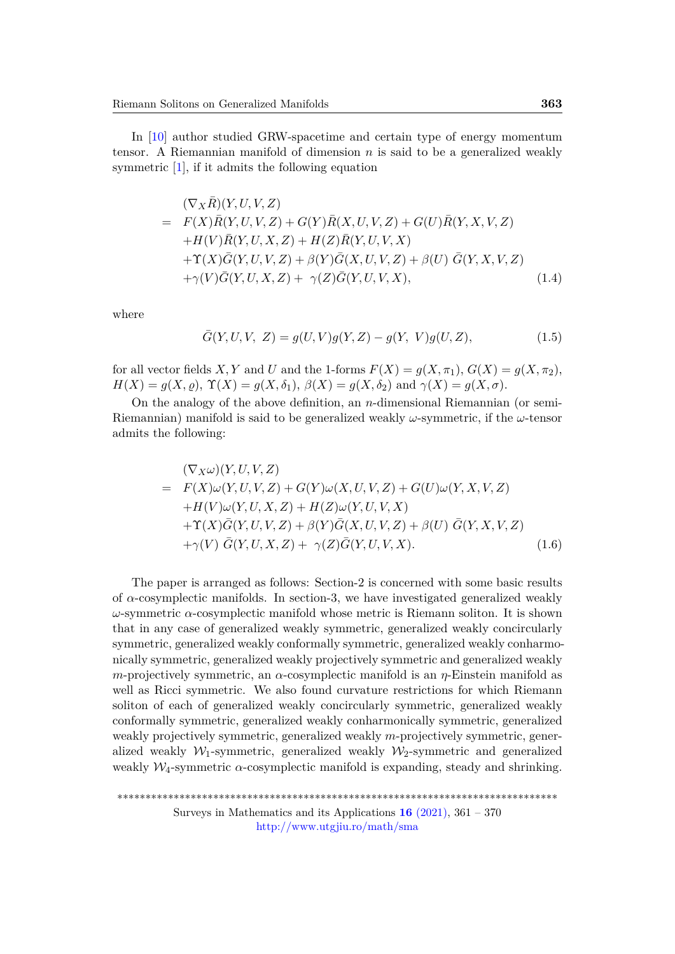In [\[10\]](#page-8-10) author studied GRW-spacetime and certain type of energy momentum tensor. A Riemannian manifold of dimension *n* is said to be a generalized weakly symmetric [\[1\]](#page-7-3), if it admits the following equation

$$
(\nabla_X \overline{R})(Y, U, V, Z)
$$
\n
$$
= F(X)\overline{R}(Y, U, V, Z) + G(Y)\overline{R}(X, U, V, Z) + G(U)\overline{R}(Y, X, V, Z)
$$
\n
$$
+ H(V)\overline{R}(Y, U, X, Z) + H(Z)\overline{R}(Y, U, V, X)
$$
\n
$$
+ \Upsilon(X)\overline{G}(Y, U, V, Z) + \beta(Y)\overline{G}(X, U, V, Z) + \beta(U)\overline{G}(Y, X, V, Z)
$$
\n
$$
+ \gamma(V)\overline{G}(Y, U, X, Z) + \gamma(Z)\overline{G}(Y, U, V, X), \qquad (1.4)
$$

where

<span id="page-2-0"></span>
$$
\bar{G}(Y, U, V, Z) = g(U, V)g(Y, Z) - g(Y, V)g(U, Z),
$$
\n(1.5)

for all vector fields *X*, *Y* and *U* and the 1-forms  $F(X) = g(X, \pi_1)$ ,  $G(X) = g(X, \pi_2)$ , *H*(*X*) = *g*(*X,*  $\varrho$ ),  $\Upsilon$ (*X*) = *g*(*X, δ*<sub>1</sub>),  $\beta$ (*X*) = *g*(*X, δ*<sub>2</sub>) and  $\gamma$ (*X*) = *g*(*X, σ*).

On the analogy of the above definition, an *n*-dimensional Riemannian (or semi-Riemannian) manifold is said to be generalized weakly *ω*-symmetric, if the *ω*-tensor admits the following:

<span id="page-2-1"></span>
$$
(\nabla_X \omega)(Y, U, V, Z)
$$
\n
$$
= F(X)\omega(Y, U, V, Z) + G(Y)\omega(X, U, V, Z) + G(U)\omega(Y, X, V, Z)
$$
\n
$$
+ H(V)\omega(Y, U, X, Z) + H(Z)\omega(Y, U, V, X)
$$
\n
$$
+ \Upsilon(X)\overline{G}(Y, U, V, Z) + \beta(Y)\overline{G}(X, U, V, Z) + \beta(U)\overline{G}(Y, X, V, Z)
$$
\n
$$
+ \gamma(V)\overline{G}(Y, U, X, Z) + \gamma(Z)\overline{G}(Y, U, V, X).
$$
\n(1.6)

The paper is arranged as follows: Section-2 is concerned with some basic results of  $\alpha$ -cosymplectic manifolds. In section-3, we have investigated generalized weakly *ω*-symmetric *α*-cosymplectic manifold whose metric is Riemann soliton. It is shown that in any case of generalized weakly symmetric, generalized weakly concircularly symmetric, generalized weakly conformally symmetric, generalized weakly conharmonically symmetric, generalized weakly projectively symmetric and generalized weakly *m*-projectively symmetric, an *α*-cosymplectic manifold is an *η*-Einstein manifold as well as Ricci symmetric. We also found curvature restrictions for which Riemann soliton of each of generalized weakly concircularly symmetric, generalized weakly conformally symmetric, generalized weakly conharmonically symmetric, generalized weakly projectively symmetric, generalized weakly *m*-projectively symmetric, generalized weakly  $W_1$ -symmetric, generalized weakly  $W_2$ -symmetric and generalized weakly  $W_4$ -symmetric  $\alpha$ -cosymplectic manifold is expanding, steady and shrinking.

<http://www.utgjiu.ro/math/sma>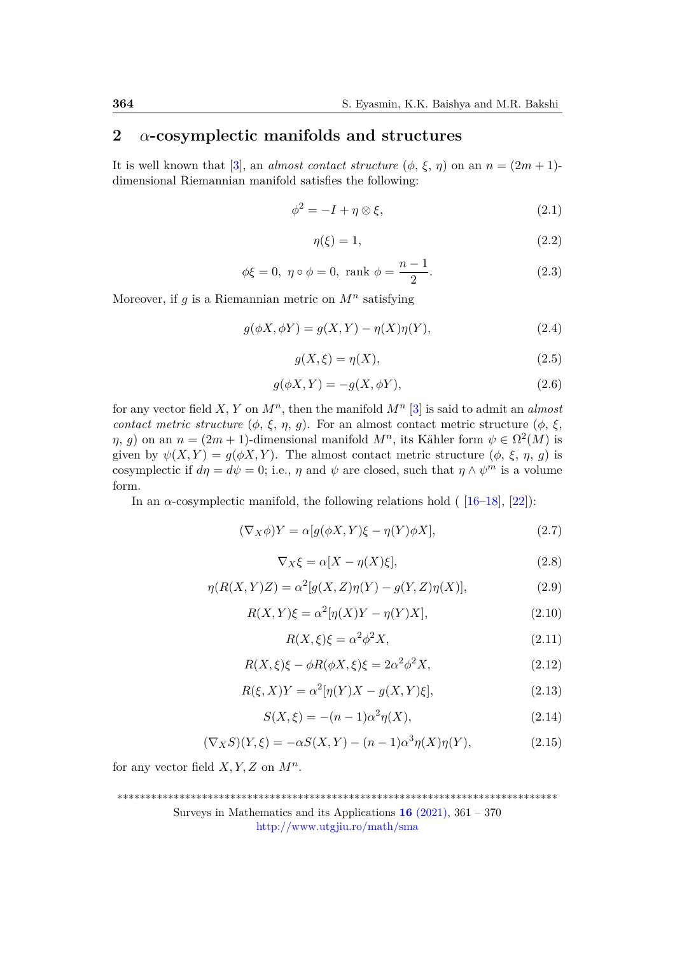# **2** *α***-cosymplectic manifolds and structures**

It is well known that [\[3\]](#page-7-4), an *almost contact structure*  $(\phi, \xi, \eta)$  on an  $n = (2m + 1)$ dimensional Riemannian manifold satisfies the following:

$$
\phi^2 = -I + \eta \otimes \xi,\tag{2.1}
$$

<span id="page-3-3"></span>
$$
\eta(\xi) = 1,\tag{2.2}
$$

$$
\phi \xi = 0, \ \eta \circ \phi = 0, \text{ rank } \phi = \frac{n-1}{2}.
$$
\n(2.3)

Moreover, if  $g$  is a Riemannian metric on  $M^n$  satisfying

$$
g(\phi X, \phi Y) = g(X, Y) - \eta(X)\eta(Y), \qquad (2.4)
$$

<span id="page-3-0"></span>
$$
g(X,\xi) = \eta(X),\tag{2.5}
$$

$$
g(\phi X, Y) = -g(X, \phi Y),\tag{2.6}
$$

for any vector field *X, Y* on *M<sup>n</sup>* , then the manifold *M<sup>n</sup>* [\[3\]](#page-7-4) is said to admit an *almost contact metric structure*  $(\phi, \xi, \eta, g)$ . For an almost contact metric structure  $(\phi, \xi, g)$ *η*, *g*) on an  $n = (2m + 1)$ -dimensional manifold  $M^n$ , its Kähler form  $\psi \in \Omega^2(M)$  is given by  $\psi(X, Y) = g(\phi X, Y)$ . The almost contact metric structure  $(\phi, \xi, \eta, q)$  is cosymplectic if  $d\eta = d\psi = 0$ ; i.e.,  $\eta$  and  $\psi$  are closed, such that  $\eta \wedge \psi^m$  is a volume form.

In an  $\alpha$ -cosymplectic manifold, the following relations hold ( $[16–18]$  $[16–18]$ ,  $[22]$ ):

$$
(\nabla_X \phi)Y = \alpha[g(\phi X, Y)\xi - \eta(Y)\phi X],\tag{2.7}
$$

$$
\nabla_X \xi = \alpha [X - \eta(X)\xi],\tag{2.8}
$$

$$
\eta(R(X,Y)Z) = \alpha^2[g(X,Z)\eta(Y) - g(Y,Z)\eta(X)],\tag{2.9}
$$

$$
R(X,Y)\xi = \alpha^2[\eta(X)Y - \eta(Y)X],\tag{2.10}
$$

$$
R(X,\xi)\xi = \alpha^2 \phi^2 X,\tag{2.11}
$$

$$
R(X,\xi)\xi - \phi R(\phi X,\xi)\xi = 2\alpha^2 \phi^2 X,\tag{2.12}
$$

$$
R(\xi, X)Y = \alpha^2[\eta(Y)X - g(X, Y)\xi],\tag{2.13}
$$

<span id="page-3-1"></span>
$$
S(X,\xi) = -(n-1)\alpha^2 \eta(X),
$$
\n(2.14)

<span id="page-3-2"></span>
$$
(\nabla_X S)(Y,\xi) = -\alpha S(X,Y) - (n-1)\alpha^3 \eta(X)\eta(Y),
$$
\n(2.15)

for any vector field  $X, Y, Z$  on  $M^n$ .

Surveys in Mathematics and its Applications **16** [\(2021\),](http://www.utgjiu.ro/math/sma/v16/v16.html) 361 – 370

<http://www.utgjiu.ro/math/sma>

<sup>\*\*\*\*\*\*\*\*\*\*\*\*\*\*\*\*\*\*\*\*\*\*\*\*\*\*\*\*\*\*\*\*\*\*\*\*\*\*\*\*\*\*\*\*\*\*\*\*\*\*\*\*\*\*\*\*\*\*\*\*\*\*\*\*\*\*\*\*\*\*\*\*\*\*\*\*\*\*</sup>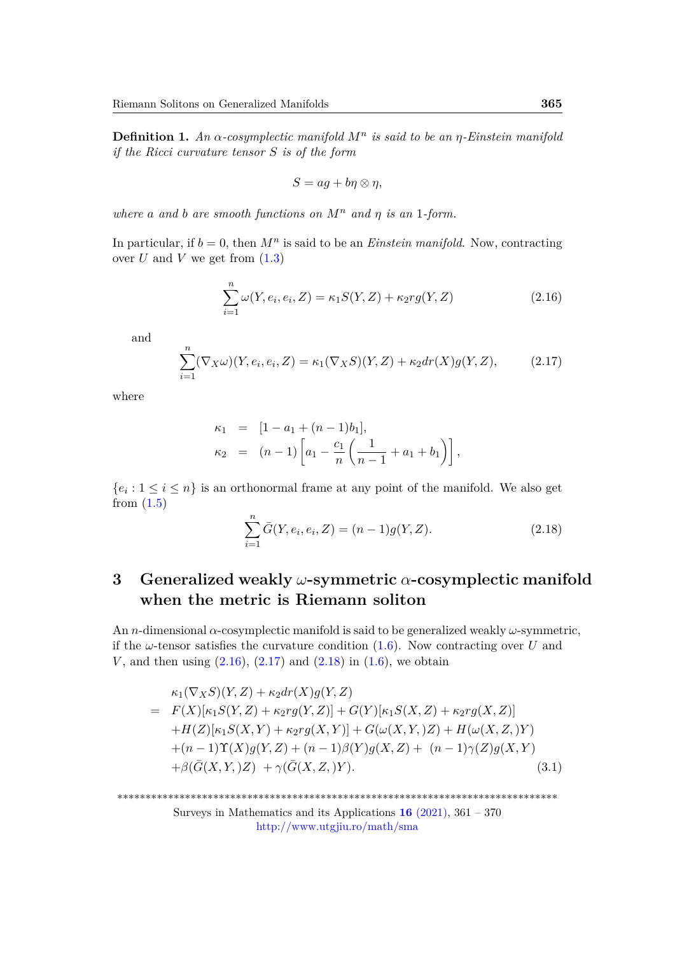**Definition 1.** *An α-cosymplectic manifold M<sup>n</sup> is said to be an η-Einstein manifold if the Ricci curvature tensor S is of the form*

$$
S = ag + b\eta \otimes \eta,
$$

*where a and b are smooth functions on*  $M^n$  *and*  $\eta$  *is an* 1-form.

In particular, if  $b = 0$ , then  $M^n$  is said to be an *Einstein manifold*. Now, contracting over  $U$  and  $V$  we get from  $(1.3)$ 

<span id="page-4-0"></span>
$$
\sum_{i=1}^{n} \omega(Y, e_i, e_i, Z) = \kappa_1 S(Y, Z) + \kappa_2 r g(Y, Z)
$$
\n(2.16)

and

<span id="page-4-1"></span>
$$
\sum_{i=1}^{n} (\nabla_X \omega)(Y, e_i, e_i, Z) = \kappa_1(\nabla_X S)(Y, Z) + \kappa_2 dr(X) g(Y, Z), \tag{2.17}
$$

where

$$
\kappa_1 = [1 - a_1 + (n - 1)b_1],
$$
  
\n
$$
\kappa_2 = (n - 1) \left[ a_1 - \frac{c_1}{n} \left( \frac{1}{n - 1} + a_1 + b_1 \right) \right],
$$

 ${e_i : 1 \leq i \leq n}$  is an orthonormal frame at any point of the manifold. We also get from [\(1.5\)](#page-2-0)

<span id="page-4-2"></span>
$$
\sum_{i=1}^{n} \bar{G}(Y, e_i, e_i, Z) = (n-1)g(Y, Z).
$$
\n(2.18)

# **3 Generalized weakly** *ω***-symmetric** *α***-cosymplectic manifold when the metric is Riemann soliton**

An *n*-dimensional *α*-cosymplectic manifold is said to be generalized weakly *ω*-symmetric, if the  $\omega$ -tensor satisfies the curvature condition  $(1.6)$ . Now contracting over *U* and *V*, and then using  $(2.16)$ ,  $(2.17)$  and  $(2.18)$  in  $(1.6)$ , we obtain

<span id="page-4-3"></span>
$$
\kappa_1(\nabla_X S)(Y, Z) + \kappa_2 dr(X)g(Y, Z)
$$
\n
$$
= F(X)[\kappa_1 S(Y, Z) + \kappa_2 rg(Y, Z)] + G(Y)[\kappa_1 S(X, Z) + \kappa_2 rg(X, Z)]
$$
\n
$$
+ H(Z)[\kappa_1 S(X, Y) + \kappa_2 rg(X, Y)] + G(\omega(X, Y, Z)) + H(\omega(X, Z, Y))
$$
\n
$$
+ (n - 1)\Upsilon(X)g(Y, Z) + (n - 1)\beta(Y)g(X, Z) + (n - 1)\gamma(Z)g(X, Y)
$$
\n
$$
+ \beta(\bar{G}(X, Y, Z)) + \gamma(\bar{G}(X, Z, Y)). \tag{3.1}
$$

\*\*\*\*\*\*\*\*\*\*\*\*\*\*\*\*\*\*\*\*\*\*\*\*\*\*\*\*\*\*\*\*\*\*\*\*\*\*\*\*\*\*\*\*\*\*\*\*\*\*\*\*\*\*\*\*\*\*\*\*\*\*\*\*\*\*\*\*\*\*\*\*\*\*\*\*\*\*

Surveys in Mathematics and its Applications **16** [\(2021\),](http://www.utgjiu.ro/math/sma/v16/v16.html) 361 – 370 <http://www.utgjiu.ro/math/sma>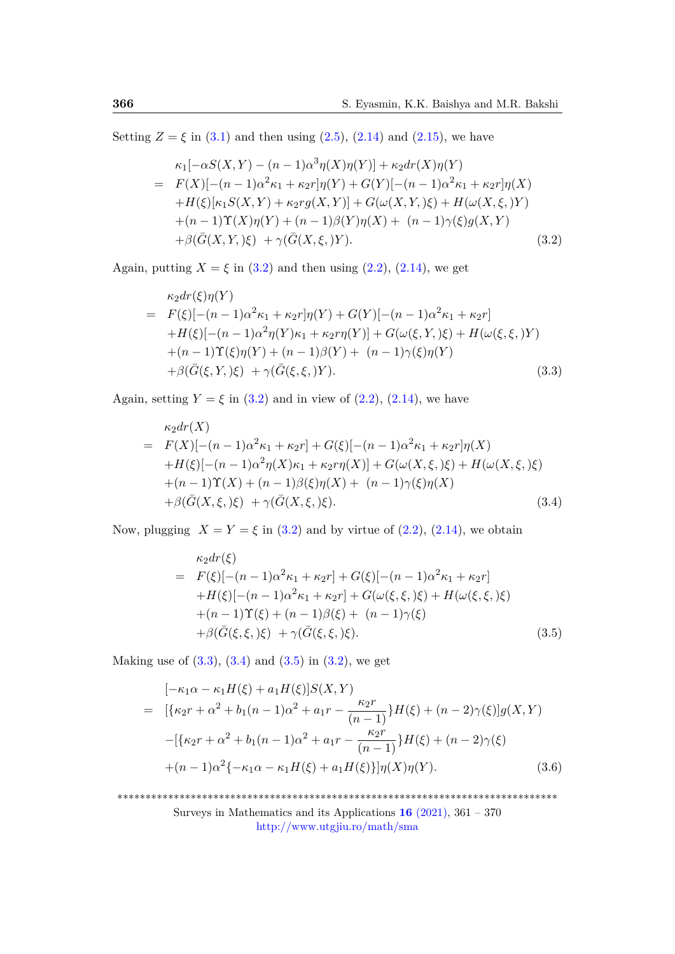Setting  $Z = \xi$  in [\(3.1\)](#page-4-3) and then using [\(2.5\)](#page-3-0), [\(2.14\)](#page-3-1) and [\(2.15\)](#page-3-2), we have

<span id="page-5-0"></span>
$$
\kappa_1[-\alpha S(X,Y) - (n-1)\alpha^3 \eta(X)\eta(Y)] + \kappa_2 dr(X)\eta(Y)
$$
\n
$$
= F(X)[- (n-1)\alpha^2 \kappa_1 + \kappa_2 r] \eta(Y) + G(Y)[- (n-1)\alpha^2 \kappa_1 + \kappa_2 r] \eta(X)
$$
\n
$$
+ H(\xi)[\kappa_1 S(X,Y) + \kappa_2 r g(X,Y)] + G(\omega(X,Y,\xi) + H(\omega(X,\xi,Y))
$$
\n
$$
+ (n-1)\Upsilon(X)\eta(Y) + (n-1)\beta(Y)\eta(X) + (n-1)\gamma(\xi)g(X,Y)
$$
\n
$$
+ \beta(\bar{G}(X,Y,\xi) + \gamma(\bar{G}(X,\xi,Y)). \tag{3.2}
$$

Again, putting  $X = \xi$  in [\(3.2\)](#page-5-0) and then using [\(2.2\)](#page-3-3), [\(2.14\)](#page-3-1), we get

<span id="page-5-1"></span>
$$
\kappa_2 dr(\xi) \eta(Y) \n= F(\xi) [-(n-1)\alpha^2 \kappa_1 + \kappa_2 r] \eta(Y) + G(Y) [-(n-1)\alpha^2 \kappa_1 + \kappa_2 r] \n+ H(\xi) [-(n-1)\alpha^2 \eta(Y) \kappa_1 + \kappa_2 r \eta(Y)] + G(\omega(\xi, Y, \xi) + H(\omega(\xi, \xi, Y)) \n+ (n-1)\Upsilon(\xi) \eta(Y) + (n-1)\beta(Y) + (n-1)\gamma(\xi) \eta(Y) \n+ \beta(\bar{G}(\xi, Y, \xi) + \gamma(\bar{G}(\xi, \xi, Y)).
$$
\n(3.3)

Again, setting  $Y = \xi$  in [\(3.2\)](#page-5-0) and in view of [\(2.2\)](#page-3-3), [\(2.14\)](#page-3-1), we have

<span id="page-5-2"></span>
$$
\kappa_2 dr(X) \n= F(X)[- (n - 1)\alpha^2 \kappa_1 + \kappa_2 r] + G(\xi)[- (n - 1)\alpha^2 \kappa_1 + \kappa_2 r] \eta(X) \n+ H(\xi)[- (n - 1)\alpha^2 \eta(X)\kappa_1 + \kappa_2 r \eta(X)] + G(\omega(X, \xi, \xi)) + H(\omega(X, \xi, \xi)) \n+ (n - 1)\Upsilon(X) + (n - 1)\beta(\xi)\eta(X) + (n - 1)\gamma(\xi)\eta(X) \n+ \beta(\bar{G}(X, \xi, \xi)) + \gamma(\bar{G}(X, \xi, \xi)).
$$
\n(3.4)

Now, plugging  $X = Y = \xi$  in [\(3.2\)](#page-5-0) and by virtue of [\(2.2\)](#page-3-3), [\(2.14\)](#page-3-1), we obtain

<span id="page-5-3"></span>
$$
\kappa_2 dr(\xi) \n= F(\xi) [-(n-1)\alpha^2 \kappa_1 + \kappa_2 r] + G(\xi) [-(n-1)\alpha^2 \kappa_1 + \kappa_2 r] \n+ H(\xi) [-(n-1)\alpha^2 \kappa_1 + \kappa_2 r] + G(\omega(\xi, \xi, \xi) + H(\omega(\xi, \xi, \xi)) \n+ (n-1)\Upsilon(\xi) + (n-1)\beta(\xi) + (n-1)\gamma(\xi) \n+ \beta(\bar{G}(\xi, \xi, \xi) + \gamma(\bar{G}(\xi, \xi, \xi)).
$$
\n(3.5)

Making use of  $(3.3)$ ,  $(3.4)$  and  $(3.5)$  in  $(3.2)$ , we get

<span id="page-5-4"></span>
$$
[-\kappa_1 \alpha - \kappa_1 H(\xi) + a_1 H(\xi)]S(X,Y)
$$
  
= 
$$
[\{\kappa_2 r + \alpha^2 + b_1(n-1)\alpha^2 + a_1 r - \frac{\kappa_2 r}{(n-1)}\}H(\xi) + (n-2)\gamma(\xi)]g(X,Y)
$$
  

$$
-[\{\kappa_2 r + \alpha^2 + b_1(n-1)\alpha^2 + a_1 r - \frac{\kappa_2 r}{(n-1)}\}H(\xi) + (n-2)\gamma(\xi)
$$
  

$$
+(n-1)\alpha^2 \{-\kappa_1 \alpha - \kappa_1 H(\xi) + a_1 H(\xi)\}\eta(X)\eta(Y).
$$
 (3.6)

\*\*\*\*\*\*\*\*\*\*\*\*\*\*\*\*\*\*\*\*\*\*\*\*\*\*\*\*\*\*\*\*\*\*\*\*\*\*\*\*\*\*\*\*\*\*\*\*\*\*\*\*\*\*\*\*\*\*\*\*\*\*\*\*\*\*\*\*\*\*\*\*\*\*\*\*\*\* Surveys in Mathematics and its Applications  $16$  [\(2021\),](http://www.utgjiu.ro/math/sma/v16/v16.html)  $361 - 370$ <http://www.utgjiu.ro/math/sma>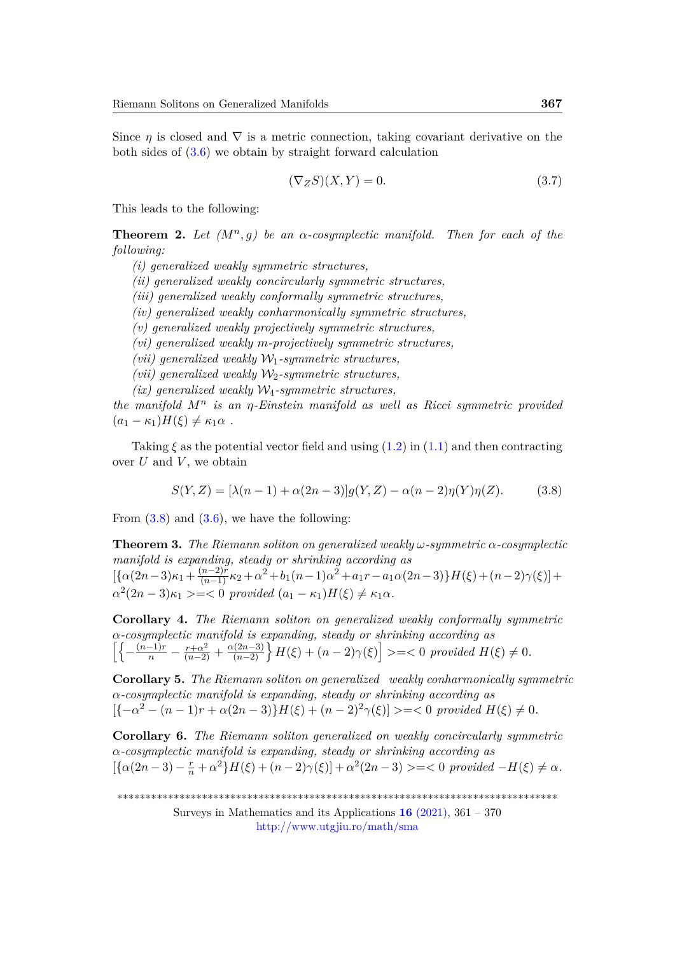Since  $\eta$  is closed and  $\nabla$  is a metric connection, taking covariant derivative on the both sides of [\(3.6\)](#page-5-4) we obtain by straight forward calculation

$$
(\nabla_Z S)(X, Y) = 0.
$$
\n(3.7)

This leads to the following:

**Theorem 2.** Let  $(M^n, g)$  be an  $\alpha$ -cosymplectic manifold. Then for each of the *following:*

*(i) generalized weakly symmetric structures,*

*(ii) generalized weakly concircularly symmetric structures,*

*(iii) generalized weakly conformally symmetric structures,*

*(iv) generalized weakly conharmonically symmetric structures,*

*(v) generalized weakly projectively symmetric structures,*

*(vi) generalized weakly m-projectively symmetric structures,*

*(vii) generalized weakly* W1*-symmetric structures,*

*(vii)* generalized weakly  $W_2$ -symmetric structures,

*(ix) generalized weakly* W4*-symmetric structures,*

*the manifold M<sup>n</sup> is an η-Einstein manifold as well as Ricci symmetric provided*  $(a_1 - \kappa_1)H(\xi) \neq \kappa_1\alpha$ .

Taking  $\xi$  as the potential vector field and using  $(1.2)$  in  $(1.1)$  and then contracting over  $U$  and  $V$ , we obtain

<span id="page-6-0"></span>
$$
S(Y, Z) = [\lambda(n-1) + \alpha(2n-3)]g(Y, Z) - \alpha(n-2)\eta(Y)\eta(Z). \tag{3.8}
$$

From  $(3.8)$  and  $(3.6)$ , we have the following:

**Theorem 3.** *The Riemann soliton on generalized weakly ω-symmetric α-cosymplectic manifold is expanding, steady or shrinking according as*  $[\{\alpha(2n-3)\kappa_1+\frac{(n-2)\tilde{r}}{(n-1)}\kappa_2+\alpha^2+b_1(n-1)\alpha^2+a_1r-a_1\alpha(2n-3)\}H(\xi)+(n-2)\gamma(\xi)]+$  $\alpha^2(2n-3)\kappa_1 \geq -\langle 0 \text{ provided } (a_1 - \kappa_1)H(\xi) \neq \kappa_1\alpha.$ 

**Corollary 4.** *The Riemann soliton on generalized weakly conformally symmetric α-cosymplectic manifold is expanding, steady or shrinking according as*  $\left[\left\{-\frac{(n-1)r}{n}-\frac{r+\alpha^2}{(n-2)}+\frac{\alpha(2n-3)}{(n-2)}\right\}H(\xi)+(n-2)\gamma(\xi)\right]\geq -\leq 0 \, \, provided \, H(\xi)\neq 0.$ 

**Corollary 5.** *The Riemann soliton on generalized weakly conharmonically symmetric α-cosymplectic manifold is expanding, steady or shrinking according as*  $[{-\alpha^2 - (n-1)r + \alpha(2n-3)}H(\xi) + (n-2)^2\gamma(\xi)] \geq -\zeta 0$  provided  $H(\xi) \neq 0$ .

**Corollary 6.** *The Riemann soliton generalized on weakly concircularly symmetric α-cosymplectic manifold is expanding, steady or shrinking according as*  $[\{\alpha(2n-3) - \frac{r}{n} + \alpha^2\}H(\xi) + (n-2)\gamma(\xi)] + \alpha^2(2n-3) \geq -\langle 0 \text{ provided } -H(\xi) \neq \alpha.$ 

\*\*\*\*\*\*\*\*\*\*\*\*\*\*\*\*\*\*\*\*\*\*\*\*\*\*\*\*\*\*\*\*\*\*\*\*\*\*\*\*\*\*\*\*\*\*\*\*\*\*\*\*\*\*\*\*\*\*\*\*\*\*\*\*\*\*\*\*\*\*\*\*\*\*\*\*\*\*

Surveys in Mathematics and its Applications **16** [\(2021\),](http://www.utgjiu.ro/math/sma/v16/v16.html) 361 – 370 <http://www.utgjiu.ro/math/sma>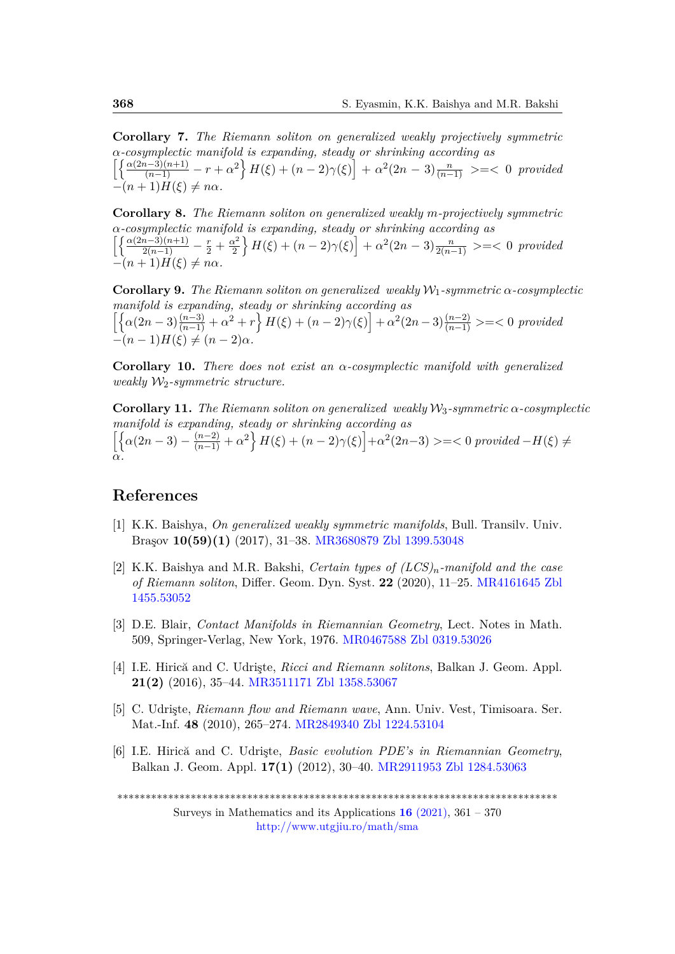**Corollary 7.** *The Riemann soliton on generalized weakly projectively symmetric α-cosymplectic manifold is expanding, steady or shrinking according as*  $\left[\left\{\frac{\alpha(2n-3)(n+1)}{(n-1)} - r + \alpha^2\right\} H(\xi) + (n-2)\gamma(\xi)\right] + \alpha^2(2n-3)\frac{n}{(n-1)} \geq -\xi$  0 provided  $-(n+1)H(\xi) \neq n\alpha$ 

**Corollary 8.** *The Riemann soliton on generalized weakly m-projectively symmetric α-cosymplectic manifold is expanding, steady or shrinking according as*  $\left[\frac{\alpha(2n-3)(n+1)}{2(n-1)} - \frac{r}{2} + \frac{\alpha^2}{2}\right]$  $\left\{\frac{\alpha^2}{2} + n(\xi) + (n-2)\gamma(\xi)\right\} + \alpha^2(2n-3)\frac{n}{2(n-1)} \geq -\xi$  0 *provided*  $-(n+1)H(\xi) \neq n\alpha$ 

**Corollary 9.** *The Riemann soliton on generalized weakly*  $W_1$ -symmetric  $\alpha$ -cosymplectic *manifold is expanding, steady or shrinking according as*  $\left[\left\{\alpha(2n-3)\frac{(n-3)}{(n-1)}+\alpha^2+r\right\}H(\xi)+(n-2)\gamma(\xi)\right]+\alpha^2(2n-3)\frac{(n-2)}{(n-1)}>=<0$  provided  $-(n-1)H(\xi) \neq (n-2)\alpha$ .

**Corollary 10.** *There does not exist an α-cosymplectic manifold with generalized weakly*  $W_2$ -symmetric structure.

**Corollary 11.** *The Riemann soliton on generalized weakly*  $W_3$ -symmetric  $\alpha$ -cosymplectic *manifold is expanding, steady or shrinking according as*  $\left[\left\{\alpha(2n-3) - \frac{(n-2)}{(n-1)} + \alpha^2\right\} H(\xi) + (n-2)\gamma(\xi)\right] + \alpha^2(2n-3) \geq -\langle 0 \text{ provided } -H(\xi) \neq 0\right]$ *α.*

### **References**

- <span id="page-7-3"></span>[1] K.K. Baishya, *On generalized weakly symmetric manifolds*, Bull. Transilv. Univ. Braşov **10(59)(1)** (2017), 31–38. [MR3680879](http://www.ams.org/mathscinet-getitem?mr=3680879) [Zbl 1399.53048]( https://zbmath.org/?q=an:1399.53048)
- <span id="page-7-1"></span>[2] K.K. Baishya and M.R. Bakshi, *Certain types of (LCS)n-manifold and the case of Riemann soliton*, Differ. Geom. Dyn. Syst. **22** (2020), 11–25. [MR4161645](http://www.ams.org/mathscinet-getitem?mr=4161645) [Zbl](https://zbmath.org/?q=an:1455.53052) [1455.53052](https://zbmath.org/?q=an:1455.53052)
- <span id="page-7-4"></span>[3] D.E. Blair, *Contact Manifolds in Riemannian Geometry*, Lect. Notes in Math. 509, Springer-Verlag, New York, 1976. [MR0467588](http://www.ams.org/mathscinet-getitem?mr=0467588) [Zbl 0319.53026](https://zbmath.org/?q=an:0319.53026)
- <span id="page-7-0"></span>[4] I.E. Hirică and C. Udrişte, *Ricci and Riemann solitons*, Balkan J. Geom. Appl. **21(2)** (2016), 35–44. [MR3511171](http://www.ams.org/mathscinet-getitem?mr=3511171) [Zbl 1358.53067](https://zbmath.org/?q=an:1358.53067)
- <span id="page-7-2"></span>[5] C. Udrişte, *Riemann flow and Riemann wave*, Ann. Univ. Vest, Timisoara. Ser. Mat.-Inf. **48** (2010), 265–274. [MR2849340](http://www.ams.org/mathscinet-getitem?mr=2849340) [Zbl 1224.53104](https://zbmath.org/?q=an:1224.53104)
- [6] I.E. Hirică and C. Udrişte, *Basic evolution PDE's in Riemannian Geometry*, Balkan J. Geom. Appl. **17(1)** (2012), 30–40. [MR2911953](http://www.ams.org/mathscinet-getitem?mr=2911953) [Zbl 1284.53063](https://zbmath.org/?q=an:1284.53063)

\*\*\*\*\*\*\*\*\*\*\*\*\*\*\*\*\*\*\*\*\*\*\*\*\*\*\*\*\*\*\*\*\*\*\*\*\*\*\*\*\*\*\*\*\*\*\*\*\*\*\*\*\*\*\*\*\*\*\*\*\*\*\*\*\*\*\*\*\*\*\*\*\*\*\*\*\*\*

Surveys in Mathematics and its Applications **16** [\(2021\),](http://www.utgjiu.ro/math/sma/v16/v16.html) 361 – 370 <http://www.utgjiu.ro/math/sma>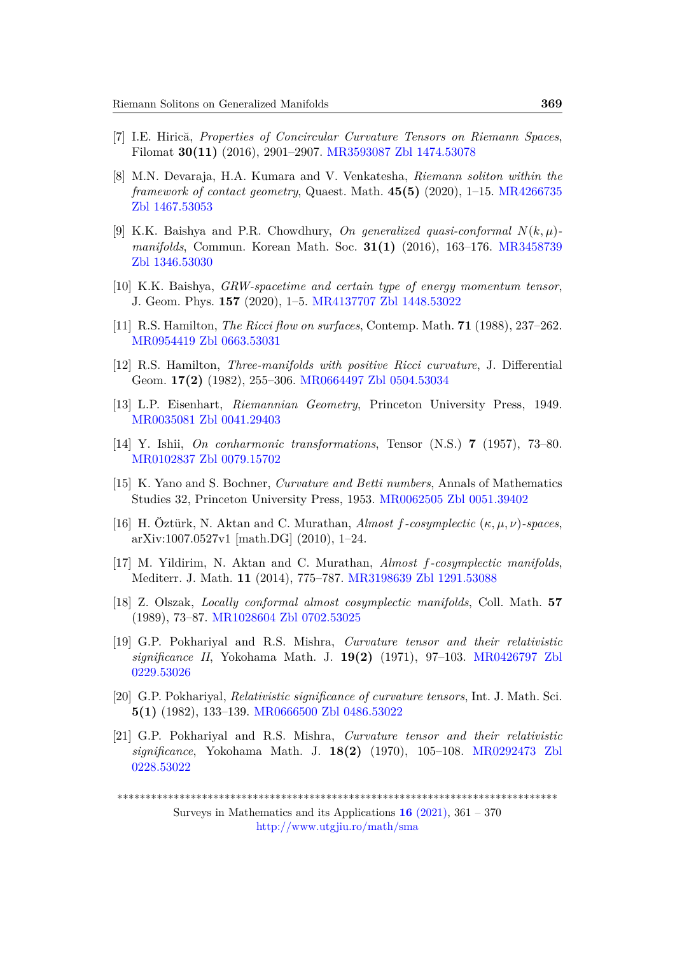- [7] I.E. Hirică, *Properties of Concircular Curvature Tensors on Riemann Spaces*, Filomat **30(11)** (2016), 2901–2907. [MR3593087](http://www.ams.org/mathscinet-getitem?mr=3593087) [Zbl 1474.53078](https://zbmath.org/?q=an:1474.53078)
- <span id="page-8-0"></span>[8] M.N. Devaraja, H.A. Kumara and V. Venkatesha, *Riemann soliton within the framework of contact geometry*, Quaest. Math. **45(5)** (2020), 1–15. [MR4266735](http://www.ams.org/mathscinet-getitem?mr=4266735) [Zbl 1467.53053](https://zbmath.org/?q=an:1467.53053)
- <span id="page-8-1"></span>[9] K.K. Baishya and P.R. Chowdhury, *On generalized quasi-conformal N*(*k, µ*) *manifolds*, Commun. Korean Math. Soc. **31(1)** (2016), 163–176. [MR3458739](http://www.ams.org/mathscinet-getitem?mr=3458739) [Zbl 1346.53030](https://zbmath.org/?q=an:1346.53030)
- <span id="page-8-10"></span>[10] K.K. Baishya, *GRW-spacetime and certain type of energy momentum tensor*, J. Geom. Phys. **157** (2020), 1–5. [MR4137707](http://www.ams.org/mathscinet-getitem?mr=4137707) [Zbl 1448.53022](https://zbmath.org/?q=an:1448.53022)
- <span id="page-8-8"></span>[11] R.S. Hamilton, *The Ricci flow on surfaces*, Contemp. Math. **71** (1988), 237–262. [MR0954419](http://www.ams.org/mathscinet-getitem?mr=0954419) [Zbl 0663.53031](https://zbmath.org/?q=an:0663.53031)
- <span id="page-8-9"></span>[12] R.S. Hamilton, *Three-manifolds with positive Ricci curvature*, J. Differential Geom. **17(2)** (1982), 255–306. [MR0664497](http://www.ams.org/mathscinet-getitem?mr=0664497) [Zbl 0504.53034](https://zbmath.org/?q=an:0504.53034)
- <span id="page-8-2"></span>[13] L.P. Eisenhart, *Riemannian Geometry*, Princeton University Press, 1949. [MR0035081](http://www.ams.org/mathscinet-getitem?mr=0035081) [Zbl 0041.29403](https://zbmath.org/?q=an:0041.29403)
- <span id="page-8-4"></span>[14] Y. Ishii, *On conharmonic transformations*, Tensor (N.S.) **7** (1957), 73–80. [MR0102837](http://www.ams.org/mathscinet-getitem?mr=0102837) [Zbl 0079.15702](https://zbmath.org/?q=an:0079.15702)
- <span id="page-8-3"></span>[15] K. Yano and S. Bochner, *Curvature and Betti numbers*, Annals of Mathematics Studies 32, Princeton University Press, 1953. [MR0062505](http://www.ams.org/mathscinet-getitem?mr=0062505) [Zbl 0051.39402](https://zbmath.org/?q=an:0051.39402)
- <span id="page-8-11"></span>[16] H. Öztürk, N. Aktan and C. Murathan, *Almost f-cosymplectic* (*κ, µ, ν*)*-spaces*, arXiv:1007.0527v1 [math.DG] (2010), 1–24.
- [17] M. Yildirim, N. Aktan and C. Murathan, *Almost f-cosymplectic manifolds*, Mediterr. J. Math. **11** (2014), 775–787. [MR3198639](http://www.ams.org/mathscinet-getitem?mr=3198639) [Zbl 1291.53088](https://zbmath.org/?q=an:1291.53088)
- <span id="page-8-12"></span>[18] Z. Olszak, *Locally conformal almost cosymplectic manifolds*, Coll. Math. **57** (1989), 73–87. [MR1028604](http://www.ams.org/mathscinet-getitem?mr=1028604) [Zbl 0702.53025](https://zbmath.org/?q=an:0702.53025)
- <span id="page-8-5"></span>[19] G.P. Pokhariyal and R.S. Mishra, *Curvature tensor and their relativistic significance II*, Yokohama Math. J. **19(2)** (1971), 97–103. [MR0426797](http://www.ams.org/mathscinet-getitem?mr=0426797) [Zbl](https://zbmath.org/?q=an:0229.53026) [0229.53026](https://zbmath.org/?q=an:0229.53026)
- <span id="page-8-6"></span>[20] G.P. Pokhariyal, *Relativistic significance of curvature tensors*, Int. J. Math. Sci. **5(1)** (1982), 133–139. [MR0666500](http://www.ams.org/mathscinet-getitem?mr=0666500) [Zbl 0486.53022](https://zbmath.org/?q=an:0486.53022)
- <span id="page-8-7"></span>[21] G.P. Pokhariyal and R.S. Mishra, *Curvature tensor and their relativistic significance*, Yokohama Math. J. **18(2)** (1970), 105–108. [MR0292473](http://www.ams.org/mathscinet-getitem?mr=0292473) [Zbl](https://zbmath.org/?q=an:0228.53022) [0228.53022](https://zbmath.org/?q=an:0228.53022)

<sup>\*\*\*\*\*\*\*\*\*\*\*\*\*\*\*\*\*\*\*\*\*\*\*\*\*\*\*\*\*\*\*\*\*\*\*\*\*\*\*\*\*\*\*\*\*\*\*\*\*\*\*\*\*\*\*\*\*\*\*\*\*\*\*\*\*\*\*\*\*\*\*\*\*\*\*\*\*\*</sup>

Surveys in Mathematics and its Applications **16** [\(2021\),](http://www.utgjiu.ro/math/sma/v16/v16.html) 361 – 370 <http://www.utgjiu.ro/math/sma>